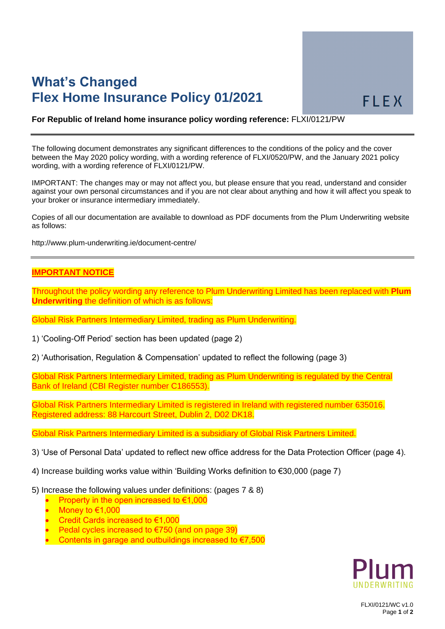# **What's Changed Flex Home Insurance Policy 01/2021**

#### **For Republic of Ireland home insurance policy wording reference:** FLXI/0121/PW

The following document demonstrates any significant differences to the conditions of the policy and the cover between the May 2020 policy wording, with a wording reference of FLXI/0520/PW, and the January 2021 policy wording, with a wording reference of FLXI/0121/PW.

IMPORTANT: The changes may or may not affect you, but please ensure that you read, understand and consider against your own personal circumstances and if you are not clear about anything and how it will affect you speak to your broker or insurance intermediary immediately.

Copies of all our documentation are available to download as PDF documents from the Plum Underwriting website as follows:

http://www.plum-underwriting.ie/document-centre/

### **IMPORTANT NOTICE**

Throughout the policy wording any reference to Plum Underwriting Limited has been replaced with **Plum Underwriting** the definition of which is as follows:

Global Risk Partners Intermediary Limited, trading as Plum Underwriting.

1) 'Cooling-Off Period' section has been updated (page 2)

2) 'Authorisation, Regulation & Compensation' updated to reflect the following (page 3)

Global Risk Partners Intermediary Limited, trading as Plum Underwriting is regulated by the Central Bank of Ireland (CBI Register number C186553).

Global Risk Partners Intermediary Limited is registered in Ireland with registered number 635016. Registered address: 88 Harcourt Street, Dublin 2, D02 DK18.

Global Risk Partners Intermediary Limited is a subsidiary of Global Risk Partners Limited.

- 3) 'Use of Personal Data' updated to reflect new office address for the Data Protection Officer (page 4).
- 4) Increase building works value within 'Building Works definition to €30,000 (page 7)
- 5) Increase the following values under definitions: (pages 7 & 8)
	- Property in the open increased to  $€1,000$
	- Money to  $€1,000$
	- Credit Cards increased to €1,000
	- **Pedal cycles increased to €750 (and on page 39)**
	- Contents in garage and outbuildings increased to €7,500



FLXI/0121/WC v1.0 Page **1** of **2**